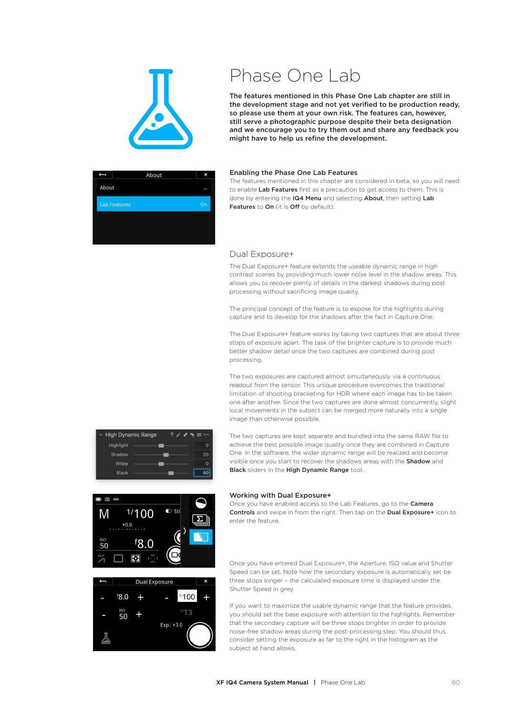

# Phase One Lab

The features mentioned in this Phase One Lab chapter are still in the development stage and not yet verified to be production ready, so please use them at your own risk. The features can, however, still serve a photographic purpose despite their beta designation and we encourage you to try them out and share any feedback you might have to help us refine the development.



### Enabling the Phase One Lab Features

The features mentioned in this chapter are considered in beta, so you will need to enable Lab Features first as a precaution to get access to them. This is done by entering the IQ4 Menu and selecting About, then setting Lab Features to On (it is Off by default).

## Dual Exposure+

The Dual Exposure+ feature extends the useable dynamic range in high contrast scenes by providing much lower noise level in the shadow areas. This allows you to recover plenty of details in the darkest shadows during post processing without sacrificing image quality.

The principal concept of the feature is to expose for the highlights during capture and to develop for the shadows after the fact in Capture One.

The Dual Exposure+ feature works by taking two captures that are about three stops of exposure apart. The task of the brighter capture is to provide much better shadow detail once the two captures are combined during post processing.

The two exposures are captured almost simultaneously via a continuous readout from the sensor. This unique procedure overcomes the traditional limitation of shooting bracketing for HDR where each image has to be taken one after another. Since the two captures are done almost concurrently, slight local movements in the subject can be merged more naturally into a single image than otherwise possible.

The two captures are kept separate and bundled into the same RAW file to achieve the best possible image quality once they are combined in Capture One. In the software, the wider dynamic range will be realized and become visible once you start to recover the shadows areas with the Shadow and Black sliders in the High Dynamic Range tool.



High Dynamic Range

Highlight

Shadov

White **Black**   $2 \times 36 = 0$ 

 $\sqrt{ }$ 

 $20$  $\overline{0}$ 

 $\overline{40}$ 

## Working with Dual Exposure+

Once you have enabled access to the Lab Features, go to the Camera Controls and swipe in from the right. Then tap on the Dual Exposure+ icon to enter the feature.

Once you have entered Dual Exposure+, the Aperture, ISO value and Shutter Speed can be set. Note how the secondary exposure is automatically set be three stops longer – the calculated exposure time is displayed under the Shutter Speed in grey.

If you want to maximize the usable dynamic range that the feature provides, you should set the base exposure with attention to the highlights. Remember that the secondary capture will be three stops brighter in order to provide noise-free shadow areas during the post-processing step. You should thus consider setting the exposure as far to the right in the histogram as the subject at hand allows.